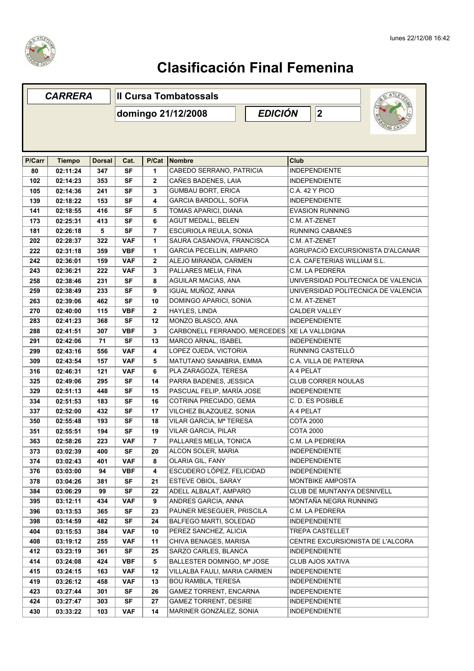

## **Clasificación Final Femenina**

| <b>CARRERA</b> |               |               | <b>Il Cursa Tombatossals</b> |                      |                                |                                     |  |  |  |
|----------------|---------------|---------------|------------------------------|----------------------|--------------------------------|-------------------------------------|--|--|--|
|                |               |               | domingo 21/12/2008           | <b>EDICIÓN</b><br> 2 |                                |                                     |  |  |  |
|                |               |               |                              |                      |                                |                                     |  |  |  |
| P/Carr         | <b>Tiempo</b> | <b>Dorsal</b> | Cat.                         | P/Cat                | Nombre                         | <b>Club</b>                         |  |  |  |
| 80             | 02:11:24      | 347           | <b>SF</b>                    | 1                    | CABEDO SERRANO, PATRICIA       | <b>INDEPENDIENTE</b>                |  |  |  |
| 102            | 02:14:23      | 353           | <b>SF</b>                    | $\mathbf{2}$         | CAÑES BADENES, LAIA            | <b>INDEPENDIENTE</b>                |  |  |  |
| 105            | 02:14:36      | 241           | <b>SF</b>                    | 3                    | <b>GUMBAU BORT, ERICA</b>      | C.A. 42 Y PICO                      |  |  |  |
| 139            | 02:18:22      | 153           | <b>SF</b>                    | 4                    | <b>GARCIA BARDOLL, SOFIA</b>   | <b>INDEPENDIENTE</b>                |  |  |  |
| 141            | 02:18:55      | 416           | <b>SF</b>                    | 5                    | TOMAS APARICI, DIANA           | <b>EVASION RUNNING</b>              |  |  |  |
| 173            | 02:25:31      | 413           | SF                           | 6                    | <b>AGUT MEDALL, BELEN</b>      | C.M. AT-ZENET                       |  |  |  |
| 181            | 02:26:18      | 5             | <b>SF</b>                    | 7                    | ESCURIOLA REULA, SONIA         | <b>RUNNING CABANES</b>              |  |  |  |
| 202            | 02:28:37      | 322           | <b>VAF</b>                   | 1                    | SAURA CASANOVA, FRANCISCA      | C.M. AT-ZENET                       |  |  |  |
| 222            | 02:31:18      | 359           | <b>VBF</b>                   | 1                    | <b>GARCIA PECELLIN, AMPARO</b> | AGRUPACIÓ EXCURSIONISTA D'ALCANAR   |  |  |  |
| 242            | 02:36:01      | 159           | <b>VAF</b>                   | 2                    | ALEJO MIRANDA, CARMEN          | C.A. CAFETERIAS WILLIAM S.L.        |  |  |  |
| 243            | 02:36:21      | 222           | <b>VAF</b>                   | 3                    | PALLARES MELIA, FINA           | C.M. LA PEDRERA                     |  |  |  |
| 258            | 02:38:46      | 231           | <b>SF</b>                    | 8                    | AGUILAR MACÍAS, ANA            | UNIVERSIDAD POLITECNICA DE VALENCIA |  |  |  |
| 259            | 02:38:49      | 233           | <b>SF</b>                    | 9                    | IGUAL MUÑOZ, ANNA              | UNIVERSIDAD POLITECNICA DE VALENCIA |  |  |  |
| 263            | 02:39:06      | 462           | <b>SF</b>                    | 10                   | DOMINGO APARICI, SONIA         | C.M. AT-ZENET                       |  |  |  |
| 270            | 02:40:00      | 115           | <b>VBF</b>                   | $\mathbf{2}$         | HAYLES, LINDA                  | <b>CALDER VALLEY</b>                |  |  |  |
| 283            | 02:41:23      | 368           | SF                           | 12                   | MONZO BLASCO, ANA              | <b>INDEPENDIENTE</b>                |  |  |  |
| 288            | 02:41:51      | 307           | <b>VBF</b>                   | 3                    | CARBONELL FERRANDO, MERCEDES   | <b>XE LA VALLDIGNA</b>              |  |  |  |
| 291            | 02:42:06      | 71            | <b>SF</b>                    | 13                   | MARCO ARNAL, ISABEL            | <b>INDEPENDIENTE</b>                |  |  |  |
| 299            | 02:43:16      | 556           | <b>VAF</b>                   | 4                    | LOPEZ OJEDA, VICTORIA          | RUNNING CASTELLO                    |  |  |  |
| 309            | 02:43:54      | 157           | <b>VAF</b>                   | 5                    | MATUTANO SANABRIA, EMMA        | C.A. VILLA DE PATERNA               |  |  |  |
| 316            | 02:46:31      | 121           | <b>VAF</b>                   | 6                    | PLA ZARAGOZA, TERESA           | A 4 PELAT                           |  |  |  |
| 325            | 02:49:06      | 295           | <b>SF</b>                    | 14                   | PARRA BADENES, JESSICA         | CLUB CORRER NOULAS                  |  |  |  |
| 329            | 02:51:13      | 448           | <b>SF</b>                    | 15                   | PASCUAL FELIP, MARÍA JOSE      | <b>INDEPENDIENTE</b>                |  |  |  |
| 334            | 02:51:53      | 183           | <b>SF</b>                    | 16                   | COTRINA PRECIADO, GEMA         | C. D. ES POSIBLE                    |  |  |  |
| 337            | 02:52:00      | 432           | <b>SF</b>                    | 17                   | VILCHEZ BLAZQUEZ, SONIA        | A 4 PELAT                           |  |  |  |
| 350            | 02:55:48      | 193           | <b>SF</b>                    | 18                   | VILAR GARCIA, Mª TERESA        | <b>COTA 2000</b>                    |  |  |  |
| 351            | 02:55:51      | 194           | <b>SF</b>                    | 19                   | VILAR GARCIA, PILAR            | <b>COTA 2000</b>                    |  |  |  |
| 363            | 02:58:26      | 223           | <b>VAF</b>                   | $\overline{7}$       | PALLARES MELIA, TONICA         | C.M. LA PEDRERA                     |  |  |  |
| 373            | 03:02:39      | 400           | SF                           | 20                   | ALCON SOLER, MARIA             | <b>INDEPENDIENTE</b>                |  |  |  |
| 374            | 03:02:43      | 401           | <b>VAF</b>                   | 8                    | OLARIA GIL, FANY               | <b>INDEPENDIENTE</b>                |  |  |  |
| 376            | 03:03:00      | 94            | VBF                          | 4                    | ESCUDERO LÓPEZ, FELICIDAD      | <b>INDEPENDIENTE</b>                |  |  |  |
| 378            | 03:04:26      | 381           | SF                           | 21                   | ESTEVE OBIOL, SARAY            | MONTBIKE AMPOSTA                    |  |  |  |
| 384            | 03:06:29      | 99            | <b>SF</b>                    | 22                   | ADELL ALBALAT, AMPARO          | CLUB DE MUNTANYA DESNIVELL          |  |  |  |
| 395            | 03:12:11      | 434           | VAF                          | 9                    | ANDRES GARCIA, ANNA            | MONTAÑA NEGRA RUNNING               |  |  |  |
| 396            | 03:13:53      | 365           | SF                           | 23                   | PAUNER MESEGUER, PRISCILA      | C.M. LA PEDRERA                     |  |  |  |
| 398            | 03:14:59      | 482           | SF                           | 24                   | BALFEGO MARTI, SOLEDAD         | <b>INDEPENDIENTE</b>                |  |  |  |
| 404            | 03:15:53      | 384           | VAF                          | 10                   | PEREZ SANCHEZ, ALICIA          | <b>TREPA CASTELLET</b>              |  |  |  |
| 408            | 03:19:12      | 255           | VAF                          | 11                   | CHIVA BENAGES, MARISA          | CENTRE EXCURSIONISTA DE L'ALCORA    |  |  |  |
| 412            | 03:23:19      | 361           | SF                           | 25                   | SARZO CARLES, BLANCA           | <b>INDEPENDIENTE</b>                |  |  |  |
| 414            | 03:24:08      | 424           | VBF                          | 5                    | BALLESTER DOMINGO, Mª JOSE     | CLUB AJOS XATIVA                    |  |  |  |
| 415            | 03:24:15      | 163           | <b>VAF</b>                   | 12                   | VILLALBA FAULI, MARIA CARMEN   | <b>INDEPENDIENTE</b>                |  |  |  |
| 419            | 03:26:12      | 458           | <b>VAF</b>                   | 13                   | <b>BOU RAMBLA, TERESA</b>      | <b>INDEPENDIENTE</b>                |  |  |  |
| 423            | 03:27:44      | 301           | SF                           | 26                   | <b>GAMEZ TORRENT, ENCARNA</b>  | <b>INDEPENDIENTE</b>                |  |  |  |
| 424            | 03:27:47      | 303           | <b>SF</b>                    | 27                   | <b>GAMEZ TORRENT, DESIRE</b>   | <b>INDEPENDIENTE</b>                |  |  |  |
| 430            | 03:33:22      | 103           | <b>VAF</b>                   | 14                   | MARINER GONZÁLEZ, SONIA        | <b>INDEPENDIENTE</b>                |  |  |  |